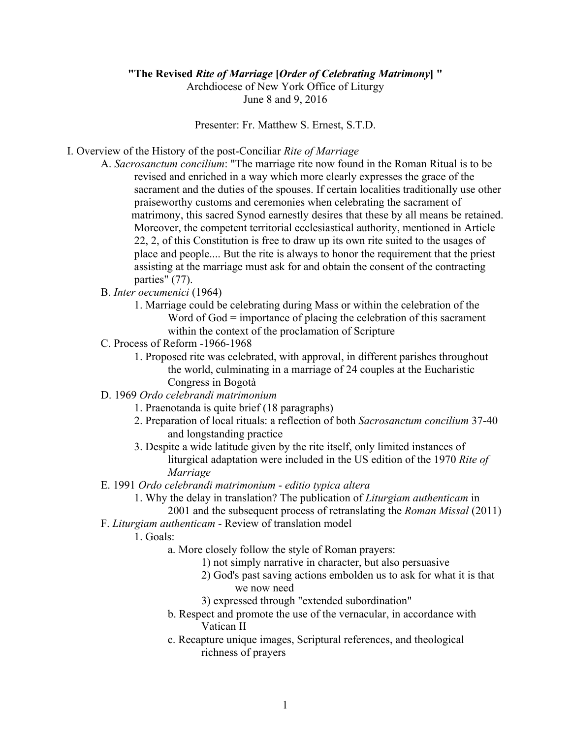## **"The Revised** *Rite of Marriage* **[***Order of Celebrating Matrimony***] "**

Archdiocese of New York Office of Liturgy June 8 and 9, 2016

Presenter: Fr. Matthew S. Ernest, S.T.D.

I. Overview of the History of the post-Conciliar *Rite of Marriage*

- A. *Sacrosanctum concilium*: "The marriage rite now found in the Roman Ritual is to be revised and enriched in a way which more clearly expresses the grace of the sacrament and the duties of the spouses. If certain localities traditionally use other praiseworthy customs and ceremonies when celebrating the sacrament of matrimony, this sacred Synod earnestly desires that these by all means be retained. Moreover, the competent territorial ecclesiastical authority, mentioned in Article 22, 2, of this Constitution is free to draw up its own rite suited to the usages of place and people.... But the rite is always to honor the requirement that the priest assisting at the marriage must ask for and obtain the consent of the contracting parties" (77).
- B. *Inter oecumenici* (1964)
	- 1. Marriage could be celebrating during Mass or within the celebration of the Word of God = importance of placing the celebration of this sacrament within the context of the proclamation of Scripture
- C. Process of Reform -1966-1968
	- 1. Proposed rite was celebrated, with approval, in different parishes throughout the world, culminating in a marriage of 24 couples at the Eucharistic Congress in Bogotà
- D. 1969 *Ordo celebrandi matrimonium*
	- 1. Praenotanda is quite brief (18 paragraphs)
	- 2. Preparation of local rituals: a reflection of both *Sacrosanctum concilium* 37-40 and longstanding practice
	- 3. Despite a wide latitude given by the rite itself, only limited instances of liturgical adaptation were included in the US edition of the 1970 *Rite of Marriage*
- E. 1991 *Ordo celebrandi matrimonium editio typica altera*
	- 1. Why the delay in translation? The publication of *Liturgiam authenticam* in 2001 and the subsequent process of retranslating the *Roman Missal* (2011)
- F. *Liturgiam authenticam* Review of translation model

1. Goals:

- a. More closely follow the style of Roman prayers:
	- 1) not simply narrative in character, but also persuasive
	- 2) God's past saving actions embolden us to ask for what it is that we now need
	- 3) expressed through "extended subordination"
- b. Respect and promote the use of the vernacular, in accordance with Vatican II
- c. Recapture unique images, Scriptural references, and theological richness of prayers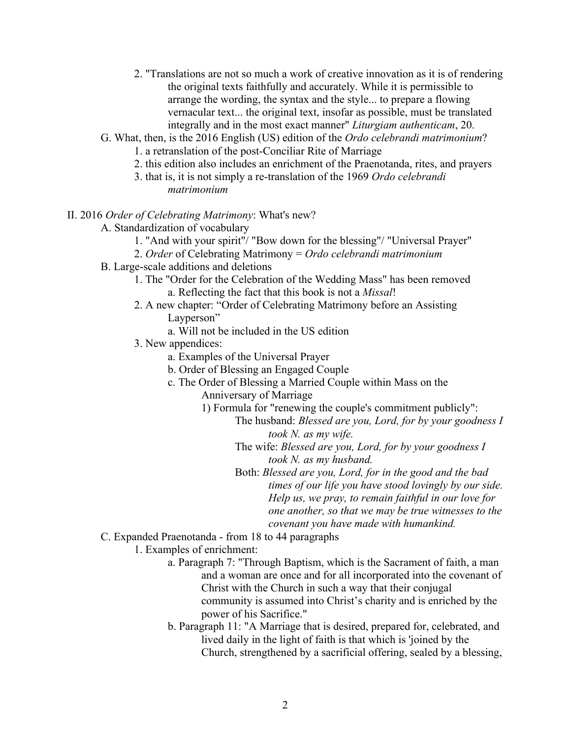- 2. "Translations are not so much a work of creative innovation as it is of rendering the original texts faithfully and accurately. While it is permissible to arrange the wording, the syntax and the style... to prepare a flowing vernacular text... the original text, insofar as possible, must be translated integrally and in the most exact manner" *Liturgiam authenticam*, 20.
- G. What, then, is the 2016 English (US) edition of the *Ordo celebrandi matrimonium*?
	- 1. a retranslation of the post-Conciliar Rite of Marriage
	- 2. this edition also includes an enrichment of the Praenotanda, rites, and prayers
	- 3. that is, it is not simply a re-translation of the 1969 *Ordo celebrandi matrimonium*

## II. 2016 *Order of Celebrating Matrimony*: What's new?

- A. Standardization of vocabulary
	- 1. "And with your spirit"/ "Bow down for the blessing"/ "Universal Prayer"
	- 2. *Order* of Celebrating Matrimony = *Ordo celebrandi matrimonium*
- B. Large-scale additions and deletions
	- 1. The "Order for the Celebration of the Wedding Mass" has been removed a. Reflecting the fact that this book is not a *Missal*!
	- 2. A new chapter: "Order of Celebrating Matrimony before an Assisting Layperson"
		- a. Will not be included in the US edition
	- 3. New appendices:
		- a. Examples of the Universal Prayer
		- b. Order of Blessing an Engaged Couple
		- c. The Order of Blessing a Married Couple within Mass on the
			- Anniversary of Marriage
			- 1) Formula for "renewing the couple's commitment publicly":
				- The husband: *Blessed are you, Lord, for by your goodness I took N. as my wife.*
				- The wife: *Blessed are you, Lord, for by your goodness I took N. as my husband.*
				- Both: *Blessed are you, Lord, for in the good and the bad times of our life you have stood lovingly by our side. Help us, we pray, to remain faithful in our love for one another, so that we may be true witnesses to the covenant you have made with humankind.*
- C. Expanded Praenotanda from 18 to 44 paragraphs
	- 1. Examples of enrichment:
		- a. Paragraph 7: "Through Baptism, which is the Sacrament of faith, a man and a woman are once and for all incorporated into the covenant of Christ with the Church in such a way that their conjugal community is assumed into Christ's charity and is enriched by the power of his Sacrifice."
		- b. Paragraph 11: "A Marriage that is desired, prepared for, celebrated, and lived daily in the light of faith is that which is 'joined by the Church, strengthened by a sacrificial offering, sealed by a blessing,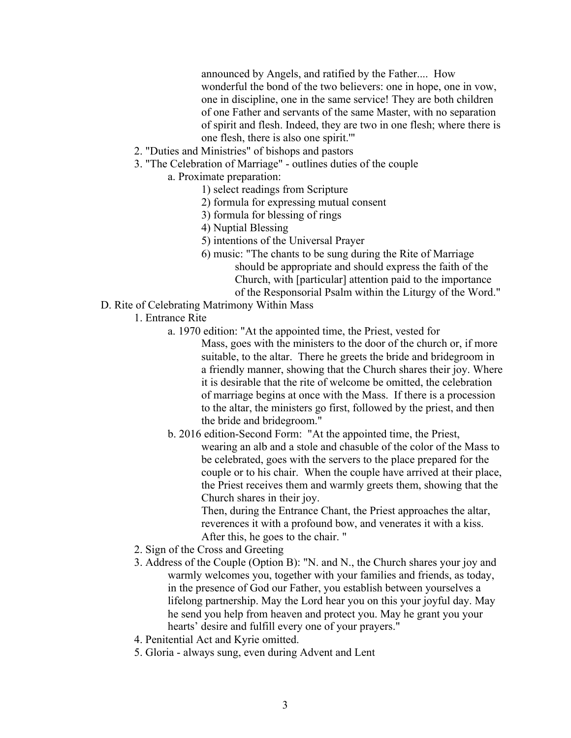announced by Angels, and ratified by the Father.... How wonderful the bond of the two believers: one in hope, one in vow, one in discipline, one in the same service! They are both children of one Father and servants of the same Master, with no separation of spirit and flesh. Indeed, they are two in one flesh; where there is one flesh, there is also one spirit.'"

- 2. "Duties and Ministries" of bishops and pastors
- 3. "The Celebration of Marriage" outlines duties of the couple
	- a. Proximate preparation:
		- 1) select readings from Scripture
		- 2) formula for expressing mutual consent
		- 3) formula for blessing of rings
		- 4) Nuptial Blessing
		- 5) intentions of the Universal Prayer
		- 6) music: "The chants to be sung during the Rite of Marriage should be appropriate and should express the faith of the Church, with [particular] attention paid to the importance of the Responsorial Psalm within the Liturgy of the Word."
- D. Rite of Celebrating Matrimony Within Mass
	- 1. Entrance Rite
		- a. 1970 edition: "At the appointed time, the Priest, vested for
			- Mass, goes with the ministers to the door of the church or, if more suitable, to the altar. There he greets the bride and bridegroom in a friendly manner, showing that the Church shares their joy. Where it is desirable that the rite of welcome be omitted, the celebration of marriage begins at once with the Mass. If there is a procession to the altar, the ministers go first, followed by the priest, and then the bride and bridegroom."
		- b. 2016 edition-Second Form: "At the appointed time, the Priest,

wearing an alb and a stole and chasuble of the color of the Mass to be celebrated, goes with the servers to the place prepared for the couple or to his chair. When the couple have arrived at their place, the Priest receives them and warmly greets them, showing that the Church shares in their joy.

Then, during the Entrance Chant, the Priest approaches the altar, reverences it with a profound bow, and venerates it with a kiss. After this, he goes to the chair. "

- 2. Sign of the Cross and Greeting
- 3. Address of the Couple (Option B): "N. and N., the Church shares your joy and warmly welcomes you, together with your families and friends, as today, in the presence of God our Father, you establish between yourselves a lifelong partnership. May the Lord hear you on this your joyful day. May he send you help from heaven and protect you. May he grant you your hearts' desire and fulfill every one of your prayers."
- 4. Penitential Act and Kyrie omitted.
- 5. Gloria always sung, even during Advent and Lent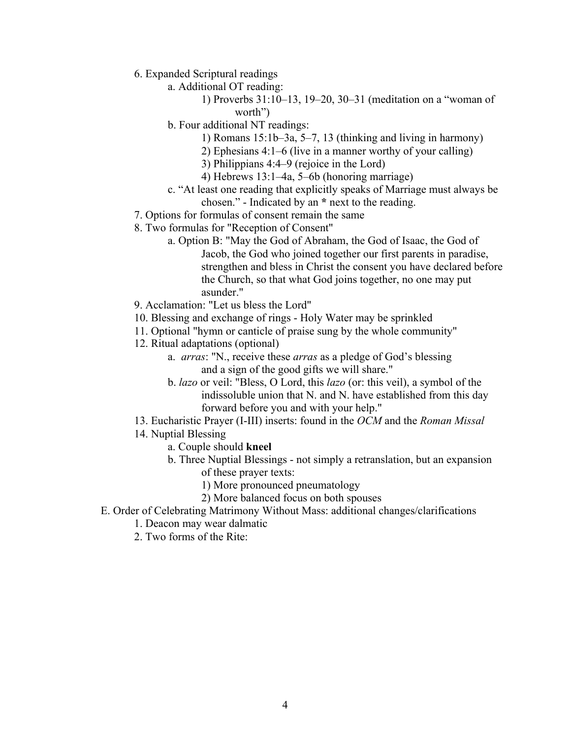- 6. Expanded Scriptural readings
	- a. Additional OT reading:
		- 1) Proverbs 31:10–13, 19–20, 30–31 (meditation on a "woman of worth")
		- b. Four additional NT readings:
			- 1) Romans 15:1b–3a, 5–7, 13 (thinking and living in harmony)
			- 2) Ephesians 4:1–6 (live in a manner worthy of your calling)
			- 3) Philippians 4:4–9 (rejoice in the Lord)
			- 4) Hebrews 13:1–4a, 5–6b (honoring marriage)
		- c. "At least one reading that explicitly speaks of Marriage must always be chosen." - Indicated by an **\*** next to the reading.
- 7. Options for formulas of consent remain the same
- 8. Two formulas for "Reception of Consent"
	- a. Option B: "May the God of Abraham, the God of Isaac, the God of Jacob, the God who joined together our first parents in paradise, strengthen and bless in Christ the consent you have declared before the Church, so that what God joins together, no one may put asunder."
- 9. Acclamation: "Let us bless the Lord"
- 10. Blessing and exchange of rings Holy Water may be sprinkled
- 11. Optional "hymn or canticle of praise sung by the whole community"
- 12. Ritual adaptations (optional)
	- a. *arras*: "N., receive these *arras* as a pledge of God's blessing and a sign of the good gifts we will share."
	- b. *lazo* or veil: "Bless, O Lord, this *lazo* (or: this veil), a symbol of the indissoluble union that N. and N. have established from this day forward before you and with your help."
- 13. Eucharistic Prayer (I-III) inserts: found in the *OCM* and the *Roman Missal*
- 14. Nuptial Blessing
	- a. Couple should **kneel**
	- b. Three Nuptial Blessings not simply a retranslation, but an expansion of these prayer texts:
		- 1) More pronounced pneumatology
		- 2) More balanced focus on both spouses
- E. Order of Celebrating Matrimony Without Mass: additional changes/clarifications
	- 1. Deacon may wear dalmatic
	- 2. Two forms of the Rite: